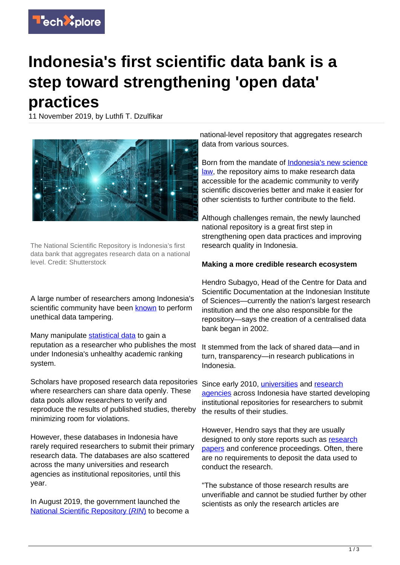

## **Indonesia's first scientific data bank is a step toward strengthening 'open data' practices**

11 November 2019, by Luthfi T. Dzulfikar



The National Scientific Repository is Indonesia's first data bank that aggregates research data on a national level. Credit: Shutterstock

A large number of researchers among Indonesia's scientific community have been **known** to perform unethical data tampering.

Many manipulate [statistical data](https://techxplore.com/tags/statistical+data/) to gain a reputation as a researcher who publishes the most under Indonesia's unhealthy academic ranking system.

Scholars have proposed research data repositories where researchers can share data openly. These data pools allow researchers to verify and reproduce the results of published studies, thereby minimizing room for violations.

However, these databases in Indonesia have rarely required researchers to submit their primary research data. The databases are also scattered across the many universities and research agencies as institutional repositories, until this year.

In August 2019, the government launched the [National Scientific Repository \(](http://rin.lipi.go.id)[RIN](http://rin.lipi.go.id)[\)](http://rin.lipi.go.id) to become a national-level repository that aggregates research data from various sources.

Born from the mandate of [Indonesia's new science](https://www.hukumonline.com/pusatdata/detail/lt5d5b96c5af24e/node/Array/undang-undang-nomor-11-tahun-2019) [law,](https://www.hukumonline.com/pusatdata/detail/lt5d5b96c5af24e/node/Array/undang-undang-nomor-11-tahun-2019) the repository aims to make research data accessible for the academic community to verify scientific discoveries better and make it easier for other scientists to further contribute to the field.

Although challenges remain, the newly launched national repository is a great first step in strengthening open data practices and improving research quality in Indonesia.

## **Making a more credible research ecosystem**

Hendro Subagyo, Head of the Centre for Data and Scientific Documentation at the Indonesian Institute of Sciences—currently the nation's largest research institution and the one also responsible for the repository—says the creation of a centralised data bank began in 2002.

It stemmed from the lack of shared data—and in turn, transparency—in research publications in Indonesia.

Since early 2010, *universities* and [research](http://ir.lipi.go.id) [agencies](http://ir.lipi.go.id) across Indonesia have started developing institutional repositories for researchers to submit the results of their studies.

However, Hendro says that they are usually designed to only store reports such as [research](https://techxplore.com/tags/research+papers/) [papers](https://techxplore.com/tags/research+papers/) and conference proceedings. Often, there are no requirements to deposit the data used to conduct the research.

"The substance of those research results are unverifiable and cannot be studied further by other scientists as only the research articles are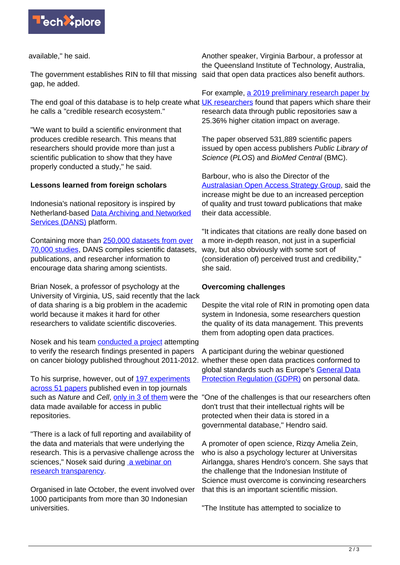

available," he said.

The government establishes RIN to fill that missing said that open data practices also benefit authors. gap, he added.

he calls a "credible research ecosystem."

"We want to build a scientific environment that produces credible research. This means that researchers should provide more than just a scientific publication to show that they have properly conducted a study," he said.

## **Lessons learned from foreign scholars**

Indonesia's national repository is inspired by Netherland-based [Data Archiving and Networked](https://dans.knaw.nl/en) [Services \(DANS\)](https://dans.knaw.nl/en) platform.

Containing more than [250,000 datasets from over](https://dans.knaw.nl/en/researchers/search) [70,000 studies,](https://dans.knaw.nl/en/researchers/search) DANS compiles scientific datasets, publications, and researcher information to encourage data sharing among scientists.

Brian Nosek, a professor of psychology at the University of Virginia, US, said recently that the lack of data sharing is a big problem in the academic world because it makes it hard for other researchers to validate scientific discoveries.

Nosek and his team [conducted a project](https://osf.io/e81xl/) attempting to verify the research findings presented in papers on cancer biology published throughout 2011-2012. whether these open data practices conformed to

To his surprise, however, out of [197 experiments](https://osf.io/p7ayb/) [across 51 papers](https://osf.io/p7ayb/) published even in top journals such as Nature and Cell, [only in 3 of them](https://www.youtube.com/watch?list=PLQN4Pa04Zt21yFomP_vazke5Pt3ukSczQ&v=3oxaA_HBOCE) were the data made available for access in public repositories.

"There is a lack of full reporting and availability of the data and materials that were underlying the research. This is a pervasive challenge across the sciences," Nosek said during [a webinar on](https://www.webinarsains2019.com) [research transparency.](https://www.webinarsains2019.com)

Organised in late October, the event involved over 1000 participants from more than 30 Indonesian universities.

Another speaker, Virginia Barbour, a professor at the Queensland Institute of Technology, Australia,

The end goal of this database is to help create what **UK researchers** found that papers which share their For example, [a 2019 preliminary research paper by](https://arxiv.org/abs/1907.02565) research data through public repositories saw a 25.36% higher citation impact on average.

> The paper observed 531,889 scientific papers issued by open access publishers Public Library of Science (PLOS) and BioMed Central (BMC).

Barbour, who is also the Director of the [Australasian Open Access Strategy Group](https://aoasg.org.au), said the increase might be due to an increased perception of quality and trust toward publications that make their data accessible.

"It indicates that citations are really done based on a more in-depth reason, not just in a superficial way, but also obviously with some sort of (consideration of) perceived trust and credibility," she said.

## **Overcoming challenges**

Despite the vital role of RIN in promoting open data system in Indonesia, some researchers question the quality of its data management. This prevents them from adopting open data practices.

A participant during the webinar questioned global standards such as Europe's [General Data](https://eugdpr.org) [Protection Regulation \(GDPR\)](https://eugdpr.org) on personal data.

"One of the challenges is that our researchers often don't trust that their intellectual rights will be protected when their data is stored in a governmental database," Hendro said.

A promoter of open science, Rizqy Amelia Zein, who is also a psychology lecturer at Universitas Airlangga, shares Hendro's concern. She says that the challenge that the Indonesian Institute of Science must overcome is convincing researchers that this is an important scientific mission.

"The Institute has attempted to socialize to